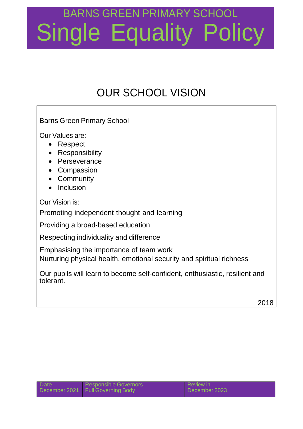# BARNS GREEN PRIMARY SCHOOL Single Equality Policy

### OUR SCHOOL VISION

Barns Green Primary School

Our Values are:

- Respect
- Responsibility
- Perseverance
- Compassion
- Community
- Inclusion

Our Vision is:

Promoting independent thought and learning

Providing a broad-based education

Respecting individuality and difference

Emphasising the importance of team work

Nurturing physical health, emotional security and spiritual richness

Our pupils will learn to become self-confident, enthusiastic, resilient and tolerant.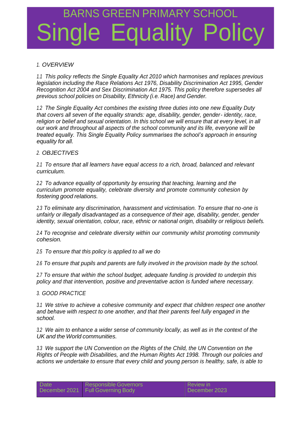## BARNS GREEN PRIMARY SCH e Equality

#### *1. OVERVIEW*

*1.1 This policy reflects the Single Equality Act 2010 which harmonises and replaces previous legislation including the Race Relations Act 1976, Disability Discrimination Act 1995, Gender Recognition Act 2004 and Sex Discrimination Act 1975. This policy therefore supersedes all previous school policies on Disability, Ethnicity (i.e. Race) and Gender.*

*1.2 The Single Equality Act combines the existing three duties into one new Equality Duty that covers all seven of the equality strands: age, disability, gender, gender- identity, race,* religion or belief and sexual orientation. In this school we will ensure that at every level, in all *our work and throughout all aspects of the school community and its life, everyone will be treated equally. This Single Equality Policy summarises the school's approach in ensuring equality for all.*

#### *2. OBJECTIVES*

*2.1 To ensure that all learners have equal access to a rich, broad, balanced and relevant curriculum.*

*2.2 To advance equality of opportunity by ensuring that teaching, learning and the curriculum promote equality, celebrate diversity and promote community cohesion by fostering good relations.*

*2.3 To eliminate any discrimination, harassment and victimisation. To ensure that no-one is unfairly or illegally disadvantaged as a consequence of their age, disability, gender, gender identity, sexual orientation, colour, race, ethnic or national origin, disability or religious beliefs.*

*2.4 To recognise and celebrate diversity within our community whilst promoting community cohesion.*

*2.5 To ensure that this policy is applied to all we do*

*2.6 To ensure that pupils and parents are fully involved in the provision made by the school.*

*2.7 To ensure that within the school budget, adequate funding is provided to underpin this policy and that intervention, positive and preventative action is funded where necessary.*

#### *3. GOOD PRACTICE*

*3.1 We strive to achieve a cohesive community and expect that children respect one another and behave with respect to one another, and that their parents feel fully engaged in the school.*

*3.2 We aim to enhance a wider sense of community locally, as well as in the context of the UK and the World communities.*

*3.3 We support the UN Convention on the Rights of the Child, the UN Convention on the Rights of People with Disabilities, and the Human Rights Act 1998. Through our policies and actions we undertake to ensure that every child and young person is healthy, safe, is able to*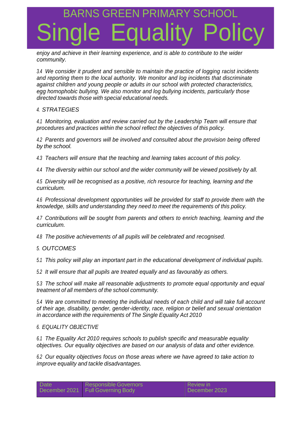### JS GREEN PRIMARY Single Equality Policy

*enjoy and achieve in their learning experience, and is able to contribute to the wider community.*

*3.4 We consider it prudent and sensible to maintain the practice of logging racist incidents and reporting them to the local authority. We monitor and log incidents that discriminate against children and young people or adults in our school with protected characteristics, egg homophobic bullying. We also monitor and log bullying incidents, particularly those directed towards those with special educational needs.*

#### *4. STRATEGIES*

*4.1 Monitoring, evaluation and review carried out by the Leadership Team will ensure that procedures and practices within the school reflect the objectives of this policy.*

*4.2 Parents and governors will be involved and consulted about the provision being offered by the school.*

*4.3 Teachers will ensure that the teaching and learning takes account of this policy.*

*4.4 The diversity within our school and the wider community will be viewed positively by all.*

*4.5 Diversity will be recognised as a positive, rich resource for teaching, learning and the curriculum.*

*4.6 Professional development opportunities will be provided for staff to provide them with the knowledge, skills and understanding they need to meet the requirements of this policy.*

*4.7 Contributions will be sought from parents and others to enrich teaching, learning and the curriculum.*

*4.8 The positive achievements of all pupils will be celebrated and recognised.*

#### *5. OUTCOMES*

*5.1 This policy will play an important part in the educational development of individual pupils.*

*5.2 It will ensure that all pupils are treated equally and as favourably as others.*

*5.3 The school will make all reasonable adjustments to promote equal opportunity and equal treatment of all members of the school community.*

*5.4 We are committed to meeting the individual needs of each child and will take full account of their age, disability, gender, gender-identity, race, religion or belief and sexual orientation in accordance with the requirements of The Single Equality Act 2010*

#### *6. EQUALITY OBJECTIVE*

*6.1 The Equality Act 2010 requires schools to publish specific and measurable equality objectives. Our equality objectives are based on our analysis of data and other evidence.*

*6.2 Our equality objectives focus on those areas where we have agreed to take action to improve equality and tackle disadvantages.*